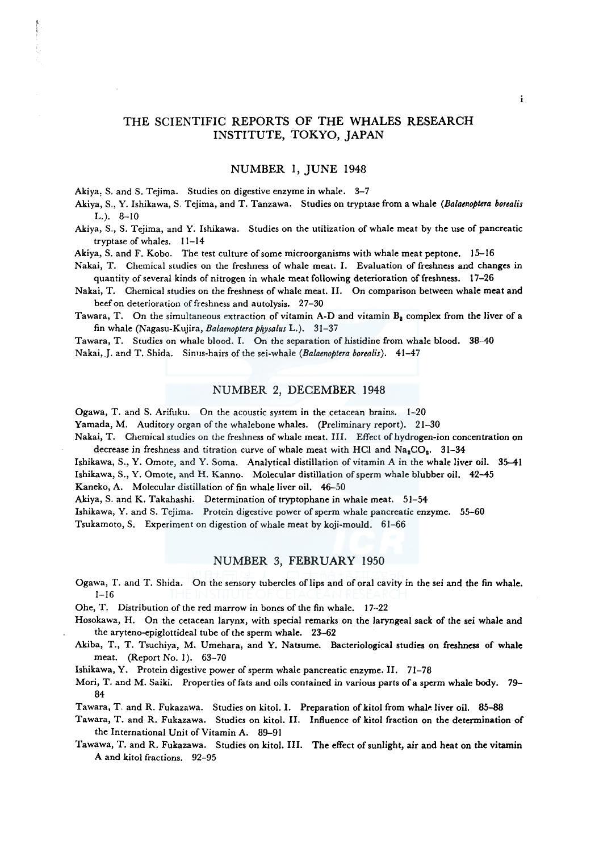# THE SCIENTIFIC REPORTS OF THE WHALES RESEARCH INSTITUTE, TOKYO, JAPAN

#### NUMBER 1, JUNE 1948

Akiya, S. and S. Tejima. Studies on digestive enzyme in whale. 3-7

Akiya, S., Y. Ishikawa, S. Tejima, and T. Tanzawa. Studies on tryptase from a whale *(Balaenoptera borealis*   $L.$ ).  $8-10$ 

Akiya, S., S. Tejima, and Y. Ishikawa. Studies on the utilization of whale meat by the use of pancreatic tryptaseofwhales. 11-14

Akiya, S. and F. Kobo. The test culture of some microorganisms with whale meat peptone. 15-16

Nakai, T. Chemical studies on the freshness of whale meat. I. Evaluation of freshness and changes in quantity of several kinds of nitrogen in whale meat following deterioration of freshness. 17-26

Nakai, T. Chemical studies on the freshness of whale meat. II. On comparison between whale meat and beef on deterioration of freshness and autolysis. 27-30

Tawara, T. On the simultaneous extraction of vitamin A-D and vitamin  $B_2$  complex from the liver of a fin whale (Nagasu-Kujira, *Balaenoptera physalus* L.). 31-37

Tawara, T. Studies on whale blood. I. On the separation of histidine from whale blood. 38--40 Nakai,J. and T. Shida. Sinus-hairs of the sei-whale *(Balaenoptera borealis).* 41-47

#### NUMBER 2, DECEMBER 1948

Ogawa, T. and S. Arifuku. On the acoustic system in the cetacean brains. 1-20

Yamada, M. Auditory organ of the whalebone whales. (Preliminary report). 21-30

Nakai, T. Chemical studies on the freshness of whale meat. III. Effect of hydrogen-ion concentration on decrease in freshness and titration curve of whale meat with HCl and  $Na_2CO_2$ . 31-34

Ishikawa, S., Y. Omote, and Y. Soma. Analytical distillation of vitamin A in the whale liver oil. 35-41 Ishikawa, S., Y. Omote, and H. Kanno. Molecular distillation of sperm whale blubber oil. 42-45

Kaneko, A. Molecular distillation of fin whale liver oil. 46-50

Akiya, S. and K. Takahashi. Determination of tryptophane in whale meat. 51-54

Ishikawa, Y. and S. Tejima. Protein digestive power of sperm whale pancreatic enzyme. 55-60

Tsukamoto, S. Experiment on digestion of whale meat by koji-mould. 61-66

#### NUMBER 3, FEBRUARY 1950

Ogawa, T. and T. Shida. On the sensory tubercles oflips and of oral cavity in the sei and the fin whale. 1-16

- Ohe, T. Distribution of the red marrow in bones of the fin whale. 17--22
- Hosokawa, H. On the cetacean larynx, with special remarks on the laryngeal sack of the sei whale and the aryteno-epiglottideal tube of the sperm whale. 23-62
- Akiba, T., T. Tsuchiya, M. Umehara, and Y. Natsume. Bacteriological studies on freshness of whale meat. (Report No. 1). 63-70

Ishikawa, Y. Protein digestive power of sperm whale pancreatic enzyme. II. 71-78

Mori, T. and M. Saiki. Properties of fats and oils contained in various parts of a sperm whale body. 79- 84

Tawara, T. and R. Fukazawa. Studies on kitol. I. Preparation of kitol from whale liver oil. 85-88

Tawara, T. and R. Fukazawa. Studies on kitol. II. Influence of kitol fraction on the determination of the International Unit of Vitamin A. 89-91

Tawawa, T. and R. Fukazawa. Studies on kitol. III. The effect of sunlight, air and heat on the vitamin A and kitol fractions. 92-95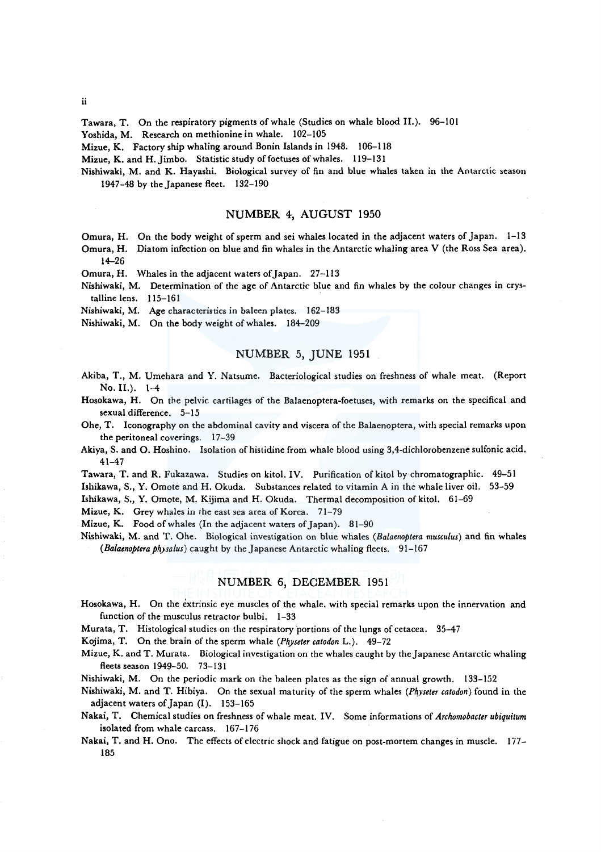Tawara, T. On the respiratory pigments of whale (Studies on whale blood II.). 96-101

Yoshida, M. Research on methionine in whale. 102-105

Mizue, K. Factory ship whaling around Bonin Islands in 1948. 106-118

Mizue, K. and H. Jimbo. Statistic study of foetuses of whales. 119-131

Nishiwaki, M. and K. Hayashi. Biological survey of fin and blue whales taken in the Antarctic season 1947-48 by the Japanese fleet. 132-190

## NUMBER 4, AUGUST 1950

Omura, H. On the body weight of sperm and sei whales located in the adjacent waters of Japan. 1-13

Omura, H. Diatom infection on blue and fin whales in the Antarctic whaling area V (the Ross Sea area). 14-26

Omura, H. Whales in the adjacent waters of Japan. 27-113

Nishiwaki, M. Determination of the age of Antarctic blue and fin whales by the colour changes in crystalline lens. 115-161

Nishiwaki, M. Age characteristics in baleen plates. 162-183

Nishiwaki, M. On the body weight of whales. 184-209

## NUMBER 5, JUNE 1951

- Akiba, T., M. Umehara and Y. Natsume. Bacteriological studies on freshness of whale meat. (Report  $No. II.$ ).  $1-4$
- Hosokawa, H. On the pelvic cartilages of the Balaenoptera-foetuses, with remarks on the specifical and sexual difference. 5-15
- Ohe, T. Iconography on the abdominal cavity and viscera of the Balaenoptera, with special remarks upon the peritoneal coverings. 17-39
- Akiya, S. and 0. Hoshino. Isolation of histidine from whale blood using 3,4-dichlorobenzene sulfonic acid. 41-47
- Tawara, T. and R. Fukazawa. Studies on kitol. IV. Purification of kitol by chromatographic. 49-51

Ishikawa, S., Y. Omote and H. Okuda. Substances related to vitamin A in the whale liver oil. 53-59

Ishikawa, S., Y. Omote, M. Kijima and H. Okuda. Thermal decomposition of kitol. 61-69

Mizue, K. Grey whales in the east sea area of Korea. 71-79

Mizue, K. Food of whales (In the adjacent waters of Japan). 81-90

Nishiwaki, M. and T. Ohe. Biological investigation on blue whales *(Balaenoptera musculus)* and fin whales *(Balaenoptera physalus)* caught by the Japanese Antarctic whaling fleets. 91-167

## NUMBER 6, DECEMBER 1951

Hosokawa, H. On the extrinsic eye muscles of the whale. with special remarks upon the innervation and function of the musculus retractor bulbi. 1-33

Murata, T. Histological studies on the respiratory portions of the lungs of cetacea. 35-47

Kojima, T. On the brain of the sperm whale *(Physeter catodon* L.). 49-72

Mizue, K. and T. Murata. Biological investigation on the whales caught by the Japanese Antarctic whaling fleets season 1949-50. 73-131

Nishiwaki, M. On the periodic mark on the baleen plates as the sign of annual growth. 133-152

Nishiwaki, M. and T. Hibiya. On the sexual maturity of the sperm whales (Physeter catodon) found in the adjacent waters of Japan (I). 153-165

Nakai, T. Chemical studies on freshness of whale meat. IV. Some informations of *Archomobacter ubiquitum*  isolated from whale carcass. 167-176

Nakai, T. and H. Ono. The effects of electric shock and fatigue on post-mortem changes in muscle. 177- 185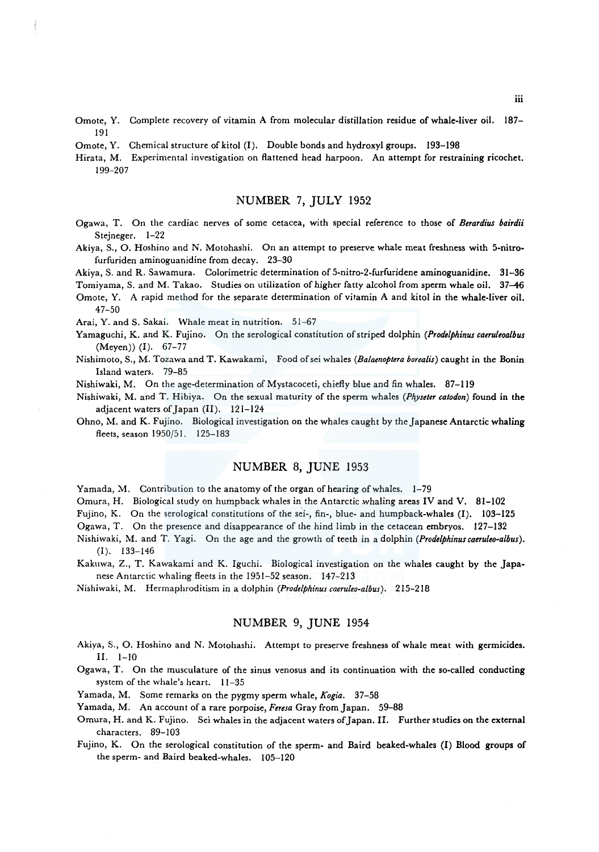Omote, Y. Complete recovery of vitamin A from molecular distillation residue of whale-liver oil. 187- 191

Omote, Y. Chemical structure of kitol (I). Double bonds and hydroxyl groups. 193-198

Hirata, M. Experimental investigation on flattened head harpoon. An attempt for restraining ricochet. 199-207

## NUMBER 7, JULY 1952

- Ogawa, T. On the cardiac nerves of some cetacea, with special reference to those of *Berardius bairdii* Stejneger. 1-22
- Akiya, S., 0. Hoshino and N. Motohashi. On an attempt to preserve whale meat freshness with 5-nitrofurfuriden aminoguanidine from decay. 23-30

Akiya, S. and R. Sawamura. Colorimetric determination of 5-nitro-2-furfuridene aminoguanidine. 31-36

Tomiyama, S. and M. Takao. Studies on utilization of higher fatty alcohol from sperm whale oil. 37–46 Omote, Y. A rapid method for the separate determination of vitamin A and kitol in the whale-liver oil. 47-50

Arai, Y. and S. Sakai. Whale meat in nutrition. 51-67

Yamaguchi, K. and K. Fujino. On the serological constitution of striped dolphin *(Prodelphinus caeruleoalbus*  (Meyen)) (I). 67-77

Nishimoto, S., M. Tozawa and T. Kawakami, Food ofsei whales *(Balaenoptera borealis)* caught in the Bonin Island waters. 79-85

Nishiwaki, M. On the age-determination of Mystacoceti, chiefly blue and fin whales. 87-119

Nishiwaki, M. and T. Hibiya. On the sexual maturity of the sperm whales *(Physeter catodon)* found in the adjacent waters of Japan (II). 121-124

Ohno, M. and K. Fujino. Biological investigation on the whales caught by the Japanese Antarctic whaling fleets, season 1950/51. 125-183

### NUMBER 8, JUNE 1953

Yamada, M. Contribution to the anatomy of the organ of hearing of whales. 1-79

Omura, H. Biological study on humpback whales in the Antarctic whaling areas IV and V. 81-102

Fujino, K. On the serological constitutions of the sei-, fin-, blue- and humpback-whales (I). 103-125

Ogawa, T. On the presence and disappearance of the hind limb in the cetacean embryos. 127-132

Nishiwaki, M. and T. Yagi. On the age and the growth of teeth in a dolphin *(Prodelphinuscaeruleo-albus).*  (I). 133-146

Kakuwa, Z., T. Kawakami and K. Iguchi. Biological investigation on the whales caught by the Japanese Antarctic whaling fleets in the 1951-52 season. 147-213

Nishiwaki, M. Hermaphroditism in a dolphin *(Prodelphinuscaeruleo-albus).* 215-218

# NUMBER 9, JUNE 1954

Akiya, S., 0. Hoshino and N. Motohashi. Attempt to preserve freshness of whale meat with germicides. II. 1-10

Ogawa, T. On the musculature of the sinus venosus and its continuation with the so-called conducting system of the whale's heart. 11-35

Yamada, M. Some remarks on the pygmy sperm whale, *Kogia.* 37-58

Yamada, M. An account of a rare porpoise, *Feresa* Gray from Japan. 59-88

Omura, H. and K. Fujino. Sei whales in the adjacent waters of Japan. II. Further studies on the external characters. 89-103

Fujino, K. On the serological constitution of the sperm- and Baird beaked-whales (I) Blood groups of the sperm- and Baird beaked-whales. 105-120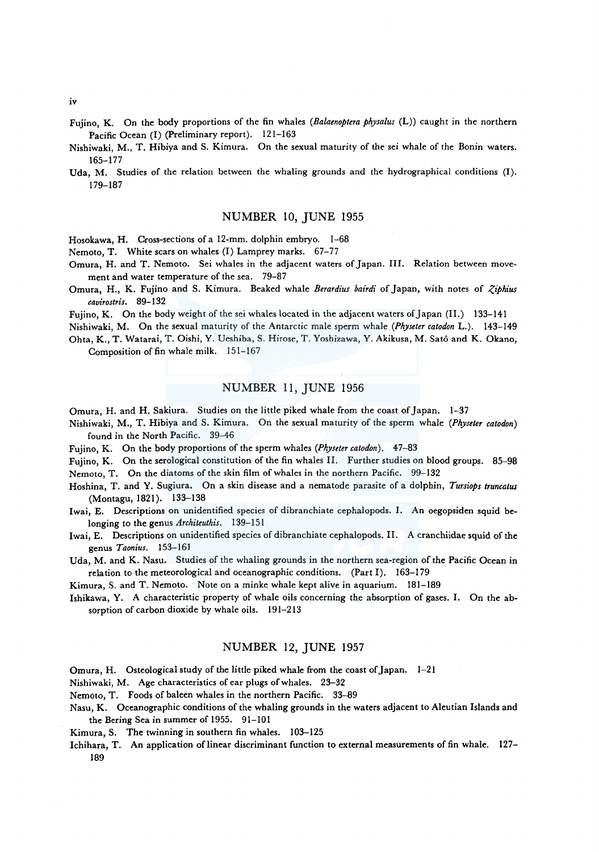Fujino, K. On the body proportions of the fin whales *(Balaenoptera physalus* (L)) caught in the northern Pacific Ocean (I) (Preliminary report). 121-163

Nishiwaki, M., T. Hibiya and S. Kimura. On the sexual maturity of the sei whale of the Bonin waters. 165-177

Uda, M. Studies of the relation between the whaling grounds and the hydrographical conditions (I). 179-187

#### NUMBER 10, JUNE 1955

Hosokawa, H. Cross-sections of a 12-mm. dolphin embryo. 1-68

Nemoto, T. White scars on whales (I) Lamprey marks. 67-77

- Omura, H. and T. Nemoto. Sei whales in the adjacent waters of Japan. III. Relation between movement and water temperature of the sea. 79-87
- Omura, H., K. Fujino and S. Kimura. Beaked whale *Berardius bairdi* of Japan, with notes of *Ziphius cavirostris.* 89-132

Fujino, K. On the body weight of the sei whales located in the adjacent waters of Japan (II.) 133-141

Nishiwaki, M. On the sexual maturity of the Antarctic male sperm whale *(Physeter catodon* L.). 143-149 Ohta, K., T. Watarai, T. Oishi, Y. Ueshiba, S. Hirose, T. Yoshizawa, Y. Akikusa, M. Sato and K. Okano, Composition of fin whale milk. 151-167

### NUMBER 11, JUNE 1956

Omura, H. and H. Sakiura. Studies on the little piked whale from the coast of Japan. 1-37

Nishiwaki, M., T. Hibiya and S. Kimura. On the sexual maturity of the sperm whale *(Physeter catodon)*  found in the North Pacific. 39-46

Fujino, K. On the body proportions of the sperm whales *(Physeter catodon)*. 47-83

Fujino, K. On the serological constitution of the fin whales II. Further studies on blood groups. 85-98

Nemoto, T. On the diatoms of the skin film of whales in the northern Pacific. 99-132

Hoshina, T. and Y. Sugiura. On a skin disease and a nematode parasite of a dolphin, *Tursiops truncatus*  (Montagu, 1821). 133-138

Iwai, E. Descriptions on unidentified species of dibranchiate cephalopods. I. An oegopsiden squid belonging to the genus *Architeuthis.* 139-151

Iwai, E. Descriptions on unidentified species of dibranchiate cephalopods. II. A cranchiidae squid of the genus *Taonius.* 153-161

Uda, M. and K. Nasu. Studies of the whaling grounds in the northern sea-region of the Pacific Ocean in relation to the meteorological and oceanographic conditions. (Part I). 163-179

Kimura, S. and T. Nemoto. Note on a minke whale kept alive in aquarium. 181-189

Ishikawa, Y. A characteristic property of whale oils concerning the absorption of gases. I. On the absorption of carbon dioxide by whale oils. 191-213

## NUMBER 12, JUNE 1957

Omura, H. Osteological study of the little piked whale from the coast of Japan. 1-21

Nishiwaki, M. Age characteristics of ear plugs of whales. 23-32

Nemoto, T. Foods of baleen whales in the northern Pacific. 33-89

Nasu, K. Oceanographic conditions of the whaling grounds in the waters adjacent to Aleutian Islands and the Bering Sea in summer of 1955. 91-101

Kimura, S. The twinning in southern fin whales. 103-125

Ichihara, T. An application of linear discriminant function to external measurements of fin whale. 127-189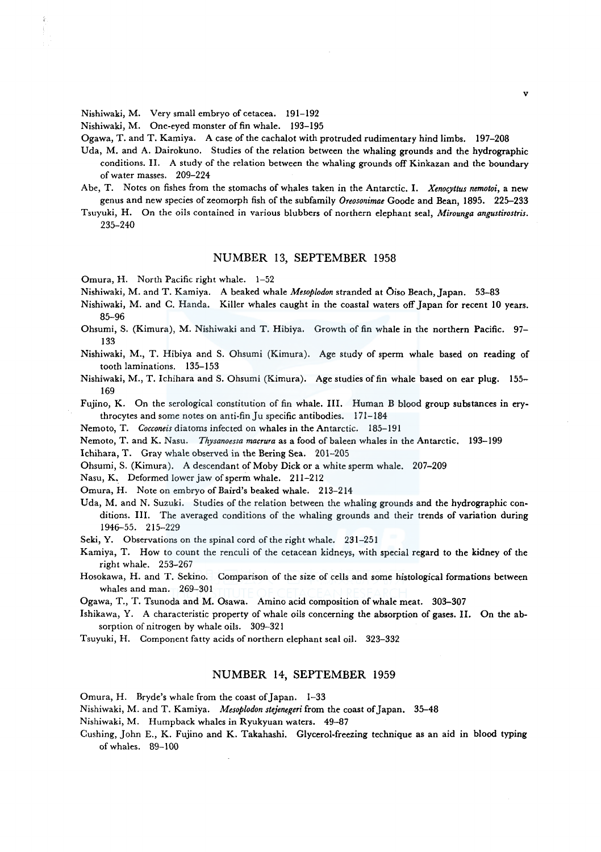Nishiwaki, M. Very small embryo of cetacea. 191-192

Nishiwaki, M. One-eyed monster of fin whale. 193-195

Ogawa, T. and T. Kamiya. A case of the cachalot with protruded rudimentary hind limbs. 197-208

- Uda, M. and A. Dairokuno. Studies of the relation between the whaling grounds and the hydrographic conditions. II. A study of the relation between the whaling grounds off Kinkazan and the boundary of water masses. 209-224
- Abe, T. Notes on fishes from the stomachs of whales taken in the Antarctic. I. *Xenocyttus nemotoi,* a new genus and new species of zeomorph fish of the subfamily *Oreosonimae* Goode and Bean, 1895. 225-233
- Tsuyuki, H. On the oils contained in various blubbers of northern elephant seal, *Mirounga angustirostris.*  235-240

#### NUMBER 13, SEPTEMBER 1958

Omura, H. North Pacific right whale. 1-52

Nishiwaki, M. and T. Kamiya. A beaked whale *Mesoplodon* stranded at Oiso Beach, Japan. 53-83

- Nishiwaki, M. and C. Handa. Killer whales caught in the coastal waters off Japan for recent 10 years. 85-96
- Ohsumi, S. (Kimura), M. Nishiwaki and T. Hibiya. Growth of fin whale in the northern Pacific. 97- 133

Nishiwaki, M., T. Hibiya and S. Ohsumi (Kimura). Age study of sperm whale based on reading of tooth laminations. 135-153

Nishiwaki, M., T. Ichihara and S. Ohsumi (Kimura). Age studies of fin whale based on ear plug. 155- 169

Fujino, K. On the serological constitution of fin whale. III. Human B blood group substances in erythrocytes and some notes on anti-fin Ju specific antibodies. 171-184

Nemoto, T. *Cocconeis* diatoms infected on whales in the Antarctic. 185-191

Nemoto, T. and K. Nasu. *Thysanoessa macrura* as a food of baleen whales in the Antarctic. 193-199

Ichihara, T. Gray whale observed in the Bering Sea. 201-205

Ohsumi, S. (Kimura). A descendant of Moby Dick or a white sperm whale. 207-209

Nasu, K.. Deformed lower jaw of sperm whale. 211-212

Omura, H. Note on embryo of Baird's beaked whale. 213-214

Uda, M. and N. Suzuki. Studies of the relation between the whaling grounds and the hydrographic conditions. III. The averaged conditions of the whaling grounds and their trends of variation during 1946-55. 215-229

Seki, Y. Observations on the spinal cord of the right whale. 231-251

Kamiya, T. How to count the renculi of the cetacean kidneys, with special regard to the kidney of the right whale. 253-267

Hosokawa, H. and T. Sekino. Comparison of the size of cells and some histological formations between whales and man. 269-301

Ogawa, T., T. Tsunoda and M. Osawa. Amino acid composition of whale meat. 303-307

Ishikawa, Y. A characteristic property of whale oils concerning the absorption of gases. II. On the absorption of nitrogen by whale oils. 309-321

Tsuyuki, H. Component fatty acids of northern elephant seal oil. 323-332

### NUMBER 14, SEPTEMBER 1959

Omura, H. Bryde's whale from the coast of Japan. 1-33

Nishiwaki, M. and T. Kamiya. *Mesoplodon stejenegeri* from the coast of Japan. 35-48

Nishiwaki, M. Humpback whales in Ryukyuan waters. 49-87

Cushing, John E., K. Fujino and K. Takahashi. Glycerol-freezing technique as an aid in blood typing of whales. 89-100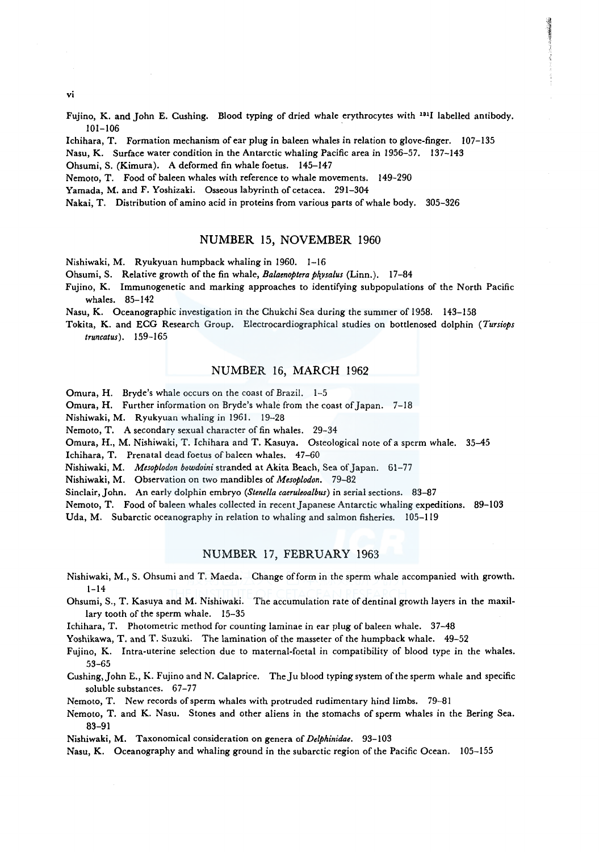vi

Fujino, K. and John E. Cushing. Blood typing of dried whale erythrocytes with 1311 labelled antibody. 101-106

lchihara, T. Formation mechanism of ear plug in baleen whales in relation to glove-finger. 107-135

Nasu, K. Surface water condition in the Antarctic whaling Pacific area in 1956-57. 137-143

Ohsumi, S. (Kimura). A deformed fin whale foetus. 145-147

Nemoto, T. Food of baleen whales with reference to whale movements. 149-290

Yamada, M. and F. Yoshizaki. Osseous labyrinth of cetacea. 291-304

Nakai, T. Distribution of amino acid in proteins from various parts of whale body. 305-326

### NUMBER 15, NOVEMBER 1960

Nishiwaki, M. Ryukyuan humpback whaling in 1960. 1-16

Ohsumi, S. Relative growth of the fin whale, *Balaenoptera ph\_vsalus* (Linn.). 17-84

Fujino, K. Immunogenetic and marking approaches to identifying subpopulations of the North Pacific whales. 85-142

Nasu, K. Oceanographic investigation in the Chukchi *Sea* during the summer of 1958. 143-158

Tokita, K. and ECG Research Group. Electrocardiographical studies on bottlenosed dolphin *(Tursiops truncatus).* 159-165

## NUMBER 16, MARCH 1962

Omura, H. Bryde's whale occurs on the coast of Brazil. 1-5

Omura, H. Further information on Bryde's whale from the coast of Japan. 7-18

Nishiwaki, M. Ryukyuan whaling in 1961. 19-28

Nemoto, T. A secondary sexual character of fin whales. 29-34

Omura, H., M. Nishiwaki, T. lchihara and T. Kasuya. Osteological note of a sperm whale. 35-45

lchihara, T. Prenatal dead foetus of baleen whales. 47-60

Nishiwaki, M. *Mesoplodon bowdoini* stranded at Akita Beach, Sea of Japan. 61-77

Nishiwaki, M. Observation on two mandibles of *Mesoplodon.* 79-82

Sinclair, John. An early dolphin embryo *(Stenella caeruleoalbus)* in serial sections. 83-87

Nemoto, T. Food of baleen whales collected in recent Japanese Antarctic whaling expeditions. 89-103

Uda, M. Subarctic oceanography in relation to whaling and salmon fisheries. 105-119

## NUMBER 17, FEBRUARY 1963

Nishiwaki, M., S. Ohsumi and T. Maeda. Change of form *in* the sperm whale accompanied with growth.  $1 - 14$ 

Ohsumi, S., T. Kasuya and M. Nishiwaki. The accumulation rate of dentinal growth layers in the maxillary tooth of the sperm whale. 15-35

lchihara, T. Photometric method for counting laminae in ear plug of baleen whale. 37-48

Yoshikawa, T. and T. Suzuki. The lamination of the masseter of the humpback whale. 49-52

Fujino, K. Intra-uterine selection due to maternal-foetal *in* compatibility of blood type in the whales. 53-65

Cushing, John E., K. Fujino and N. Calaprice. The Ju blood typing system of the sperm whale and specific soluble substances. 67-77

Nemoto, T. New records of sperm whales with protruded rudimentary hind limbs. 79-81

Nemoto, T. and K. Nasu. Stones and other aliens in the stomachs of sperm whales in the Bering Sea. 83-91

Nishiwaki, M. Taxonomical consideration on genera of *Delphinidae.* 93-103

Nasu, K. Oceanography and whaling ground in the subarctic region of the Pacific Ocean. 105-155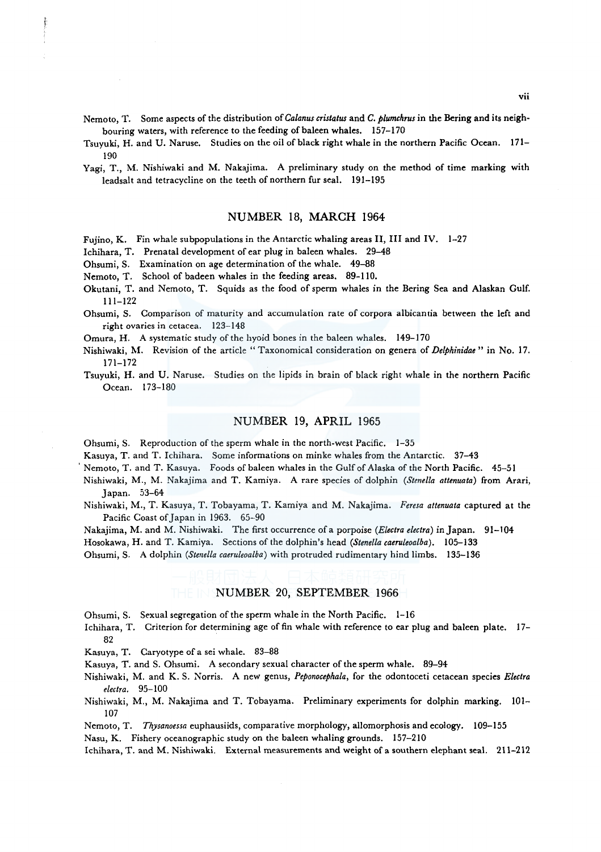Nemoto, T. Some aspects of the distribution *ofCalanus cristatus* and *C. plumchrus* in the Bering and its neighbouring waters, with reference to the feeding of baleen whales. 157-170

Tsuyuki, H. and U. Naruse. Studies on the oil of black right whale in the northern Pacific Ocean. 171- 190

Yagi, T., M. Nishiwaki and M. Nakajima. A preliminary study on the method of time marking with leadsalt and tetracycline on the teeth of northern fur seal. 191-195

### NUMBER 18, MARCH 1964

Fujino, K. Fin whale subpopulations in the Antarctic whaling areas II, III and IV. 1-27

Ichihara, T. Prenatal development of ear plug in baleen whales. 29-48

Ohsumi, S. Examination on age determination of the whale. 49-88

Nemoto, T. School of badeen whales in the feeding areas. 89-110.

- Okutani, T. and Nemoto, T. Squids as the food of sperm whales in the Bering Sea and Alaskan Gulf. 111-122
- Ohsumi, S. Comparison of maturity and accumulation rate of corpora albicantia between the left and right ovaries in cetacea. 123-148

Omura, H. A systematic study of the hyoid bones in the baleen whales. 149-170

Nishiwaki, M. Revision of the article "Taxonomical consideration on genera of *Delphinidae*" in No. 17. 171-172

Tsuyuki, H. and U. Naruse. Studies on the lipids in brain of black right whale in the northern Pacific Ocean. 173-180

#### NUMBER 19, APRIL 1965

Ohsumi, S. Reproduction of the sperm whale in the north-west Pacific. 1-35

Kasuya, T. and T. Ichihara. Some informations on minke whales from the Antarctic. 37-43

Nemoto, T. and T. Kasuya. Foods of baleen whales in the Gulf of Alaska of the North Pacific. 45-51

Nishiwaki, M., M. Nakajima and T. Kamiya. A rare species of dolphin *(Stene/la attenuata)* from Arari, Japan. 53-64

Nishiwaki, M., T. Kasuya, T. Tobayama, T. Kamiya and M. Nakajima. *Feresa attenuata* captured at the Pacific Coast of Japan in 1963. 65-90

Nakajima, M. and M. Nishiwaki. The first occurrence ofa porpoise *(Electra electra)* in Japan. 91-104

Hosokawa, H. and T. Kamiya. Sections of the dolphin's head *(Stene/la caeruleoalba).* 105-133

Ohsumi, S. A dolphin *(Stene/la caeruleoalba)* with protruded rudimentary hind limbs. 135-136

#### NUMBER 20, SEPTEMBER 1966

Ohsumi, S. Sexual segregation of the sperm whale in the North Pacific. 1-16

- lchihara, T. Criterion for determining age of fin whale with reference to ear plug and baleen plate. 17- 82
- Kasuya, T. Caryotype of a sei whale. 83-88
- Kasuya, T. and S. Ohsumi. A secondary sexual character of the sperm whale. 89-94
- Nishiwaki, M. and K. S. Norris. A new genus, *Peponocephala,* for the odontoceti cetacean species *Electra electra.* 95-100
- Nishiwaki, M., M. Nakajima and T. Tobayama. Preliminary experiments for dolphin marking. 101- 107
- Nemoto, T. *Thysanoessa* euphausiids, comparative morphology, allomorphosis and ecology. 109-155

Nasu, K. Fishery oceanographic study on the baleen whaling grounds. 157-210

lchihara, T. and M. Nishiwaki. External measurements and weight of a southern elephant seal. 211-212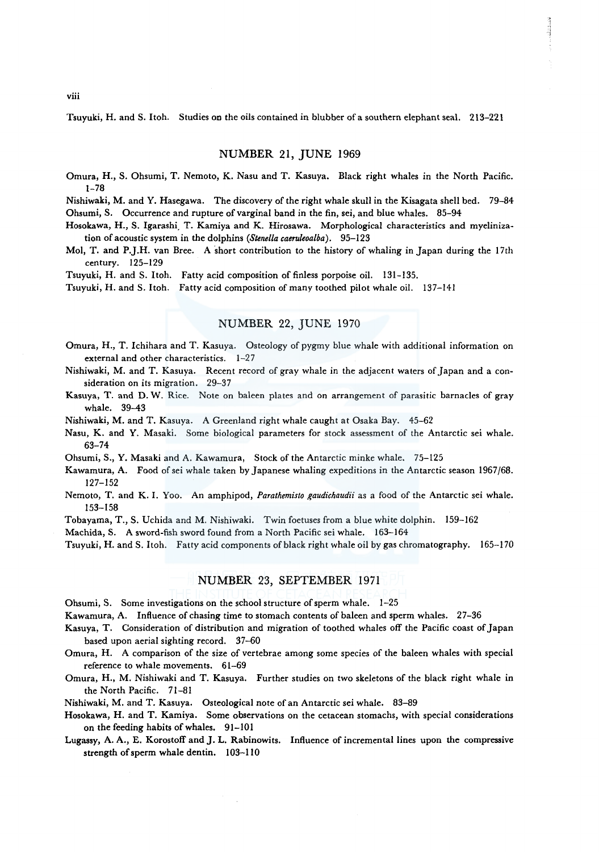Tsuyuki, H. and S. Itoh. Studies on the oils contained in blubber of a southern elephant seal. 213-22 l

#### NUMBER 21, JUNE 1969

- Omura, H., S. Ohsumi, T. Nemoto, K. Nasu and T. Kasuya. Black right whales in the North Pacific. 1-78
- Nishiwaki, M. and Y. Hasegawa. The discovery of the right whale skull in the Kisagata shell bed. 79-84 Ohsumi, S. Occurrence and rupture of varginal band in the fin, sei, and blue whales. 85-94
- Hosokawa, H., S. Igarashi<sub>,</sub> T. Kamiya and K. Hirosawa. Morphological characteristics and myelinization of acoustic system in the dolphins *(Stene/la caeruleoalba).* 95-123
- Mol, T. and P.J.H. van Bree. A short contribution to the history of whaling in Japan during the 17th century. 125-129
- Tsuyuki, H. and S. Itoh. Fatty acid composition of finless porpoise oil. 131-135.

Tsuyuki, H. and S. Itoh. Fatty acid composition of many toothed pilot whale oil. 137-141

## NUMBER 22, JUNE 1970

- Omura, H., T. Ichihara and T. Kasuya. Osteology of pygmy blue whale with additional information on external and other characteristics. 1-27
- Nishiwaki, M. and T. Kasuya. Recent record of gray whale in the adjacent waters of Japan and a consideration on its migration. 29-37
- Kasuya, T. and D. W. Rice. Note on baleen plates and on arrangement of parasitic barnacles of gray whale. 39-43
- Nishiwaki, M. and T. Kasuya. A Greenland right whale caught at Osaka Bay. 45-62
- Nasu, K. and Y. Masaki. Some biological parameters for stock assessment of the Antarctic sei whale. 63-74
- Ohsumi, S., Y. Masaki and A. Kawamura, Stock of the Antarctic minke whale. 75-125
- Kawamura, A. Food of sei whale taken by Japanese whaling expeditions in the Antarctic season 1967/68. 127-152
- Nemoto, T. and K. I. Yoo. An amphipod, *Parathemisto gaudichaudii* as a food of the Antarctic sei whale. 153-158
- Tobayama, T., S. Uchida and M. Nishiwaki. Twin foetuses from a blue white dolphin. 159-162
- Machida, S. A sword-fish sword found from a North Pacific sei whale. 163-164
- Tsuyuki, H. and S. I toh. Fatty acid components of black right whale oil by gas chromatography. 165-170

## NUMBER 23, SEPTEMBER 1971

- Ohsumi, S. Some investigations on the school structure of sperm whale. 1-25
- Kawamura, A. Influence of chasing time to stomach contents of baleen and sperm whales. 27-36
- Kasuya, T. Consideration of distribution and migration of toothed whales off the Pacific coast of Japan based upon aerial sighting record. 37-60
- Omura, H. A comparison of the size of vertebrae among some species of the baleen whales with special reference to whale movements. 61-69
- Omura, H., M. Nishiwaki and T. Kasuya. Further studies on two skeletons of the black right whale in the North Pacific. 71-81
- Nishiwaki, M. and T. Kasuya. Osteological note of an Antarctic sei whale. 83-89
- Hosokawa, H. and T. Kamiya. Some observations on the cetacean stomachs, with special considerations on the feeding habits of whales. 91-101
- Lugassy, A. A., E. Korostoff and J. L. Rabinowits. Influence of incremental lines upon the compressive strength of sperm whale dentin. 103-110

viii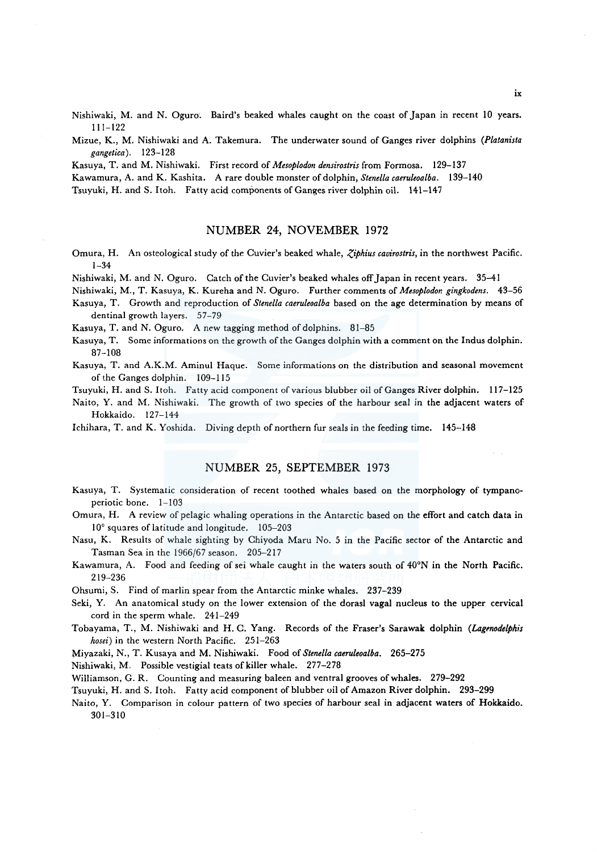Nishiwaki, M. and N. Oguro. Baird's beaked whales caught on the coast of Japan in recent 10 years. 111-122

Mizue, K., M. Nishiwaki and A. Takemura. The underwater sound of Ganges river dolphins *(Platanista gangetica).* 123-128

Kasuya, T. and M. Nishiwaki. First record of *Mesoplodon densirostris* from Formosa. 129-137

Kawamura, A. and K. Kashita. A rare double monster of dolphin, *Stene/la caeruleoalba.* 139-140

Tsuyuki, H. and S. Itoh. Fatty acid components of Ganges river dolphin oil. 141-147

### NUMBER 24, NOVEMBER 1972

Omura, H. An osteological study of the Cuvier's beaked whale, *Ziphius cavirostris*, in the northwest Pacific. 1-34

Nishiwaki, M. and N. Oguro. Catch of the Cuvier's beaked whales off Japan in recent years. 35-41

Nishiwaki, M., T. Kasuya, K. Kureha and N. Oguro. Further comments of *Mesoplodor. gingkodens.* 43-56

Kasuya, T. Growth and reproduction of *Stene/la caeruleoalba* based on the age determination by means of dentinal growth layers. 57-79

Kasuya, T. and N. Oguro. A new tagging method of dolphins. 81-85

Kasuya, T. Some informations on the growth of the Ganges dolphin with a comment on the Indus dolphin. 87-108

Kasuya, T. and A.K.M. Aminul Haque. Some informations on the distribution and seasonal movement of the Ganges dolphin. 109-115

Tsuyuki, H. and S. Itoh. Fatty acid component of various blubber oil of Ganges River dolphin. 117-125

Naito, Y. and M. Nishiwaki. The growth of two species of the harbour seal in the adjacent waters of Hokkaido. 127-144

Ichihara, T. and K. Yoshida. Diving depth of northern fur seals in the feeding time. 145-148

#### NUMBER 25, SEPTEMBER 1973

Kasuya, T. Systematic consideration of recent toothed whales based on the morphology of tympanoperiotic bone. 1-103

Omura, H. A review of pelagic whaling operations in the Antarctic based on the effort and catch data in 10° squares of latitude and longitude. 105-203

Nasu, K. Results of whale sighting by Chiyoda Maru No. 5 in the Pacific sector of the Antarctic and Tasman Sea in the 1966/67 season. 205-217

Kawamura, A. Food and feeding of sei whale caught in the waters south of 40°N in the North Pacific. 219-236

Ohsumi, S. Find of marlin spear from the Antarctic minke whales. 237-239

Seki, Y. An anatomical study on the lower extension of the dorasl vagal nucleus to the upper cervical cord in the sperm whale. 241-249

Tobayama, T., M. Nishiwaki and H. C. Yang. Records of the Fraser's Sarawak dolphin *(Lagmodelphis hosei)* in the western North Pacific. 251-263

Miyazaki, N., T. Kusaya and M. Nishiwaki. Food of *Stene/la caeruleoalba.* 265-275

Nishiwaki, M. Possible vestigial teats of killer whale. 277-278

Williamson, G. R. Counting and measuring baleen and ventral grooves of whales. 279-292

Tsuyuki, H. and S. Itoh. Fatty acid component of blubber oil of Amazon River dolphin. 293-299

Naito, Y. Comparison in colour pattern of two species of harbour seal in adjacent waters of Hokkaido. 301-310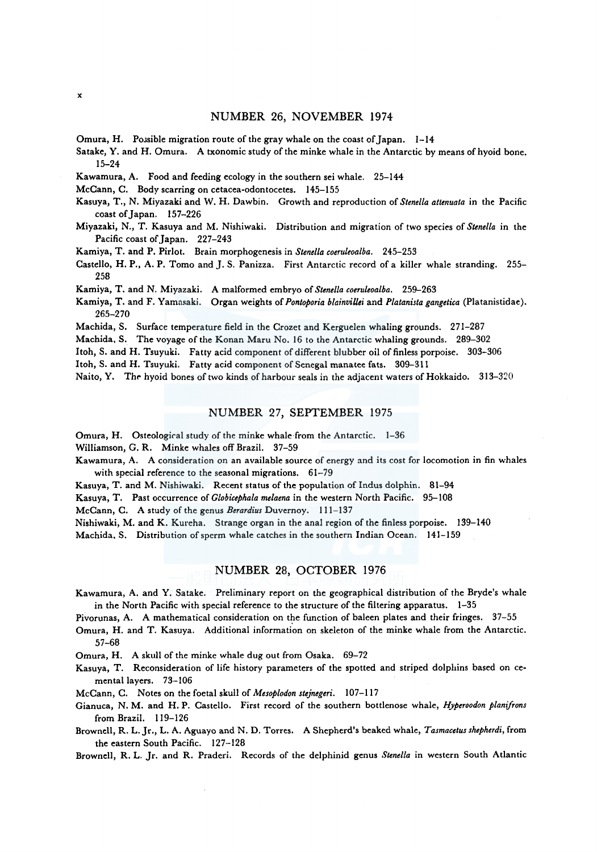### NUMBER 26, NOVEMBER 1974

Omura, H. Possible migration route of the gray whale on the coast of Japan.  $1-14$ 

Satake, Y. and H. Omura. A txonomic study of the minke whale in the Antarctic by means of hyoid bone. 15-24

Kawamura, A. Food and feeding ecology in the southern sei whale. 25-144

- McCann, C. Body scarring on cetacea-odontocetes. 145-155
- Kasuya, T., N. Miyazaki and W. H. Dawbin. Growth and reproduction of *Stene/la attenuata* in the Pacific coast of Japan. 157-226
- Miyazaki, N., T. Kasuya and M. Nishiwaki. Distribution and migration of two species of *Stene/la* in the Pacific coast of Japan. 227-243
- Kamiya, T. and P. Pirlot. Brain morphogenesis in *Stene/la coeruleoalba.* 245-253
- Castello, H. P., A. P. Tomo and J. S. Panizza. First Antarctic record of a killer whale stranding. 255-258

Kamiya, T. and N. Miyazaki. A malformed embryo of *Stene/la coeruleoalba.* 259-263

Kamiya, T. and F. Yamasaki. Organ weights of *Pontoporia blainvillei* and *Platanista gangetica* (Platanistidae). 265-270

Machida, S. Surface temperature field in the Crozet and Kerguelen whaling grounds. 271-287

Machida, S. The voyage of the Konan Maru No. 16 to the Antarctic whaling grounds. 289-302

Itoh, S. and H. Tsuyuki. Fatty acid component of different blubber oil of finless porpoise. 303-306

Itoh, S. and H. Tsuyuki. Fatty acid component of Senegal manatee fats. 309-311

Naito, Y. The hyoid bones of two kinds of harbour seals in the adjacent waters of Hokkaido. 313-320

## NUMBER 27, SEPTEMBER 1975

Omura, H. Osteological study of the minke whale·from the Antarctic. 1-36

Williamson, G. R. Minke whales off Brazil. 37-59

- Kawamura, A. A consideration on an available source of energy and its cost for locomotion in fin whales with special reference to the seasonal migrations. 61-79
- Kasuya, T. and M. Nishiwaki. Recent status of the population of Indus dolphin. 81-94
- Kasuya, T. Past occurrence of *Globicephala melaena* in the western North Pacific. 95-108

McCann, C. A study of the genus *Berardius* Duvernoy. 111-137

Nishiwaki, M. and K. Kureha. Strange organ in the anal region of the finless porpoise. 139-140

Machida. S. Distribution of sperm whale catches in the southern Indian Ocean. 141-159

#### NUMBER 28, OCTOBER 1976

Kawamura, A. and Y. Satake. Preliminary report on the geographical distribution of the Bryde's whale in the North Pacific with special reference to the structure of the filtering apparatus. 1-35

Pivorunas, A. A mathematical consideration on the function of baleen plates and their fringes. 37-55

Omura, H. and T. Kasuya. Additional information on skeleton of the minke whale from the Antarctic. 57-68

Omura, H. A skull of the minke whale dug out from Osaka. 69-72

Kasuya, T. Reconsideration of life history parameters of the spotted and striped dolphins based on cemental layers. 73-106

McCann, C. Notes on the foetal skull of *Mesoplodon stejnegeri.* 107-117

Gianuca, N. M. and H.P. Castello. First record of the southern bottlenose whale, *Hyperoodon planifrons*  from Brazil. 119-126

Brownell, R. L. Jr., L. A. Aguayo and N. D. Torres. A Shepherd's beaked whale, *Tasmacetus shepherdi,* from the eastern South Pacific. 127-128

Brownell, R. L. Jr. and R. Praderi. Records of the delphinid genus *Stene/la* in western South Atlantic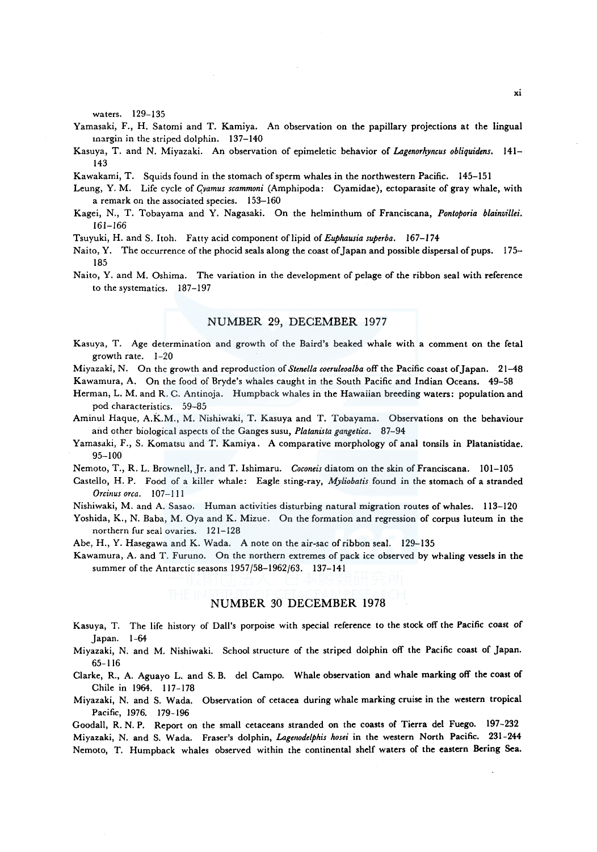waters. 129-135

- Yamasaki, F., H. Satomi and T. Kamiya. An observation on the papillary projections at the lingual margin in the striped dolphin. 137-140
- Kasuya, T. and N. Miyazaki. An observation of epimeletic behavior of *Lagenorhyncus obliquidens.* 141- 143
- Kawakami, T. Squids found in the stomach of sperm whales in the northwestern Pacific. 145-151
- Leung, Y. M. Life cycle of *C)amus scammoni* (Amphipoda: Cyamidae), ectoparasite of gray whale, with a remark on the associated species. 153-160
- Kagei, N., T. Tobayama and Y. Nagasaki. On the helminthum of Franciscana, *Pontoporia blainvillei.*  161-166
- Tsuyuki, H. and S. Itoh. Fatty acid component of lipid of *Euphausia superba.* 167-174
- Naito, Y. The occurrence of the phocid seals along the coast of Japan and possible dispersal of pups. 175-185
- Naito, Y. and M. Oshima. The variation in the development of pelage of the ribbon seal with reference to the systematics. 187-197

#### NUMBER 29, DECEMBER 1977

- Kasuya, T. Age determination and growth of the Baird's beaked whale with a comment on the feta! growth rate. 1-20
- Miyazaki, N. On the growth and reproduction of *Stenella coeruleoalba* off the Pacific coast of Japan. 21-48 Kawamura, A. On the food of Bryde's whales caught in the South Pacific and Indian Oceans. 49-58
- Herman, L. M. and R. C. Antinoja. Humpback whales in the Hawaiian breeding waters: population and pod characteristics. 59-85
- Aminul Haque, A.K.M., M. Nishiwaki, T. Kasuya and T. Tobayama. Observations on the behaviour and other biological aspects of the Ganges susu, *Platanista gangetica*. 87-94
- Yamasaki, F., S. Komatsu and T. Kamiya. A comparative morphology of anal tonsils in Platanistidae. 95-100
- Nemoto, T., R. L. Brownell, Jr. and T. Ishimaru. *Coconeis* diatom on the skin of Franciscana. 101-105
- Castello, H.P. Food of a killer whale: Eagle sting-ray, *Myliobatis* found in the stomach of a stranded *Orcinus orca.* 107-111
- Nishiwaki, M. and A. Sasao. Human activities disturbing natural migration routes of whales. 113-120
- Yoshida, K., N. Baba, M. Oya and K. Mizue. On the formation and regression of corpus luteum in the northern fur seal ovaries. 121-128
- Abe, H., Y. Hasegawa and K. Wada. A note on the air-sac of ribbon seal. 129-135

Kawamura, A. and T. Furuno. On the northern extremes of pack ice observed by whaling vessels in the summer of the Antarctic seasons 1957/58-1962/63. 137-141

## NUMBER 30 DECEMBER 1978

- Kasuya, T. The life history of Dall's porpoise with special reference to the stock off the Pacific coast of Japan. 1-64
- Miyazaki, N. and M. Nishiwaki. School structure of the striped dolphin off the Pacific coast of Japan. 65-116
- Clarke, R., A. Aguayo L. and S. B. de! Campo. Whale observation and whale marking off the coast of Chile in 1964. 117-178
- Miyazaki, N. and S. Wada. Observation of cetacea during whale marking cruise in the western tropical Pacific, 1976. 179-196

Goodall, R. N. P. Report on the small cetaceans stranded on the coasts of Tierra de! Fuego. 197-232 Miyazaki, N. and S. Wada. Fraser's dolphin, *Lagenodelphis hosei* in the western North Pacific. 231-244 Nemoto, T. Humpback whales observed within the continental shelf waters of the eastern Bering Sea.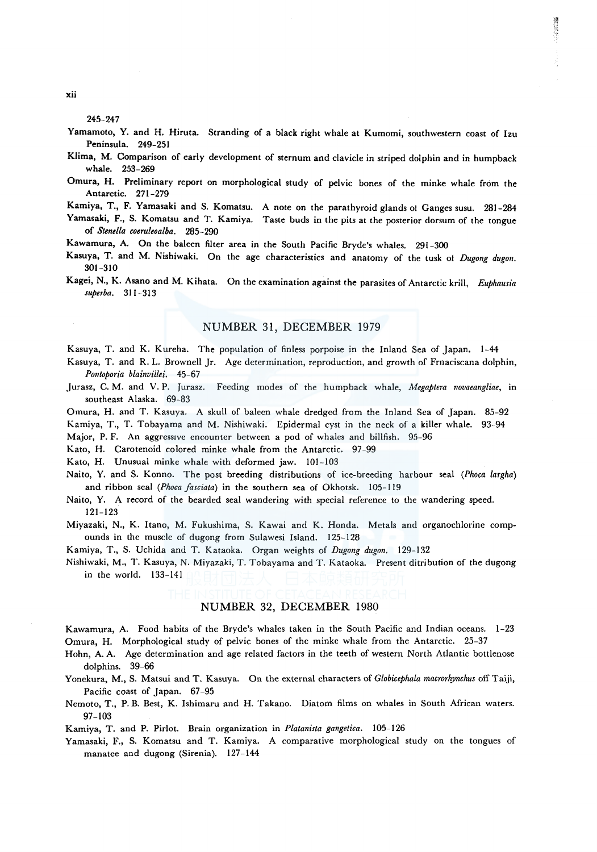245-247

Yamamoto, Y. and H. Hiruta. Stranding of a black right whale at Kumomi, southwestern coast of Izu Peninsula. 249-251

講師 2010年

- Klima, M. Comparison of early development of sternum and clavicle in striped dolphin and in humpback whale. 253-269
- Omura, H. Preliminary report on morphological study of pelvic bones of the minke whale from the Antarctic. 271-279
- Kamiya, T., F. Yamasaki and S. Komatsu. A note on the parathyroid glands ol Ganges susu. 281-284 Yamasaki, F., S. Komatsu and T. Kamiya. Taste buds in the pits at the posterior dorsum of the tongue of *Stenella coeruleoalba.* 285-290
- Kawamura, A. On the baleen filter area in the South Pacific Bryde's whales. 291-300
- Kasuya, T. and M. Nishiwaki. On the age characteristics and anatomy of the tusk of *Dugong dugon*. 301-310
- Kagei, N., K. Asano and M. Kihata. On the examination against the parasites of Antarctic krill, *Euphausia superba.* 311-313

## NUMBER 31, DECEMBER 1979

Kasuya, T. and K. Kureha. The population of finless porpoise in the Inland Sea of Japan. 1-44

- Kasuya, T. and R. L. Brownell Jr. Age determination, reproduction, and growth of Frnaciscana dolphin, *Po11toporia blainvillei.* 45-67
- Jurasz, C. M. and V. P. Jurasz. Feeding modes of the humpback whale, *Megaptera novaeangliae,* in southeast Alaska. 69-83
- Omura, H. and T. Kasuya. A skull of baleen whale dredged from the Inland Sea of Japan. 85-92
- Kamiya, T., T. Tobayama and M. Nishiwaki. Epidermal cyst in the neck of a killer whale. 93-94
- Major, P. F. An aggressive encounter between a pod of whales and billfish. 95-96

Kato, H. Carotenoid colored minke whale from the Antarctic. 97-99

Kato, H. Unusual minke whale with deformed jaw. 101-103

Naito, Y. and S. Konno. The post breeding distributions of ice-breeding harbour seal *(Phoca largha)*  and ribbon seal *(Phoca fasciata)* in the southern sea of Okhotsk. 105-119

Naito, Y. A record of the bearded seal wandering with special reference to the wandering speed. 121-123

Miyazaki, N., K. Itano, M. Fukushima, S. Kawai and K. Honda. Metals and organochlorine compounds in the muscle of dugong from Sulawesi Island. 125-128

Kamiya, T., S. Uchida and T. Kataoka. Organ weights of *Dugong dugon.* 129-132

Nishiwaki, M., T. Kasuya, N. Miyazaki, T. Tobayama and T. Kataoka. Present ditribution of the dugong in the world. 133-141

### NUMBER 32, DECEMBER 1980

Kawamura, A. Food habits of the Bryde's whales taken in the South Pacific and Indian oceans. 1-23 Omura, H. Morphological study of pelvic bones of the minke whale from the Antarctic. 25-37

- Hohn, A. A. Age determination and age related factors in the teeth of western North Atlantic bottlenose dolphins. 39-66
- Yonekura, M., S. Matsui and T. Kasuya. On the external characters of *Globicephala macrorhynchus* off Taiji, Pacific coast of Japan. 67-95
- Nemoto, T., P. B. Best, K. Ishimaru and H. Takano. Diatom films on whales in South African waters. 97-103

Kamiya, T. and P. Pirlot. Brain organization in *Platanista gangetica.* 105-126

Yamasaki, F., S. Komatsu and T. Kamiya. A comparative morphological study on the tongues of manatee and dugong (Sirenia). 127-144

xii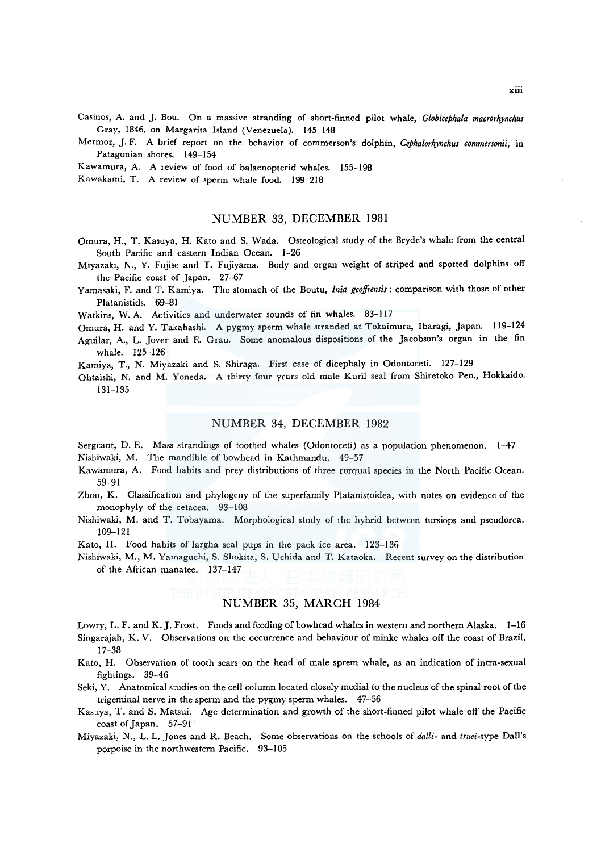Casinos, A. and J. Bou. On a massive stranding of short-finned pilot whale, *Globicephala macrorhynchus*  Gray, 1846, on Margarita Island (Venezuela). 145-148

Mermoz, J. F. *A* brief report on the behavior of commerson's dolphin, *Cephalorhynchus commersonii,* in Patagonian shores. 149-154

Kawamura, A. *A* review of food of balaenopterid whales. 155-198

Kawakami, T. *A* review of sperm whale food. 199-218

#### NUMBER 33, DECEMBER 1981

- Omura, H., T. Kasuya, H. Kato and S. Wada. Osteological study of the Bryde's whale from the central South Pacific and eastern Indian Ocean. 1-26
- Miyazaki, N., Y. Fujise and T. Fujiyama. Body and organ weight of striped and spotted dolphins off the Pacific coast of Japan. 27-67
- Yamasaki, F. and T. Kamiya. The stomach of the Boutu, *Inia geoffrensis:* comparison with those of other Platanistids. 69-81

Watkins, W. A. Activities and underwater sounds of fin whales. 83-117

- Omura, H. and Y. Takahashi. A pygmy sperm whale stranded at Tokaimura, Ibaragi, Japan. 119-124
- Aguilar, A., L. Jover and E. Grau. Some anomalous dispositions of the Jacobson's organ in the fin whale. 125-126

Kamiya, T., N. Miyazaki and S. Shiraga. First case of dicephaly in Odontoceti. 127-129

Ohtaishi, N. and M. Yoneda. A thirty four years old male Kuril seal from Shiretoko Pen., Hokkaido. 131-135

### NUMBER 34, DECEMBER 1982

Sergeant, D. E. Mass strandings of toothed whales (Odontoceti) as a population phenomenon. 1-47 Nishiwaki, M. The mandible of bowhead in Kathmandu. 49-57

- Kawamura, A. Food habits and prey distributions of three rorqual species in the North Pacific Ocean. 59-91
- Zhou, K. Classification and phylogeny of the superfamily Platanistoidea, with notes on evidence of the monophyly of the cetacea. 93-108
- Nishiwaki, M. and T. Tobayama. Morphological study of the hybrid between tursiops and pseudorca. 109-121
- Kato, H. Food habits of largha seal pups in the pack ice area. 123-136
- Nishiwaki, M., M. Yamaguchi, S. Shakita, S. Uchida and T. Kataoka. Recent survey on the distribution of the African manatee. 137-147

## NUMBER 35, MARCH 1984

- Lowry, L. F. and K. J. Frost. Foods and feeding of bowhead whales in western and northern Alaska. 1-16
- Singarajah, K. V. Observations on the occurrence and behaviour of minke whales off the coast of Brazil. 17-38
- Kato, H. Observation of tooth scars on the head of male sprem whale, as an indication of intra-sexual fightings. 39-46
- Seki, Y. Anatomical studies on the cell column located closely medial to the nucleus of the spinal root of the trigeminal nerve in the sperm and the pygmy sperm whales. 47-56
- Kasuya, T. and S. Matsui. Age determination and growth of the short-finned pilot whale off the Pacific coast of Japan. 57-91 ·
- Miyazaki, N., .L. L. Jones and R. Beach. Some observations on the schools of *dalli-* and *truei-type* Dall's porpoise in the northwestern Pacific. 93-105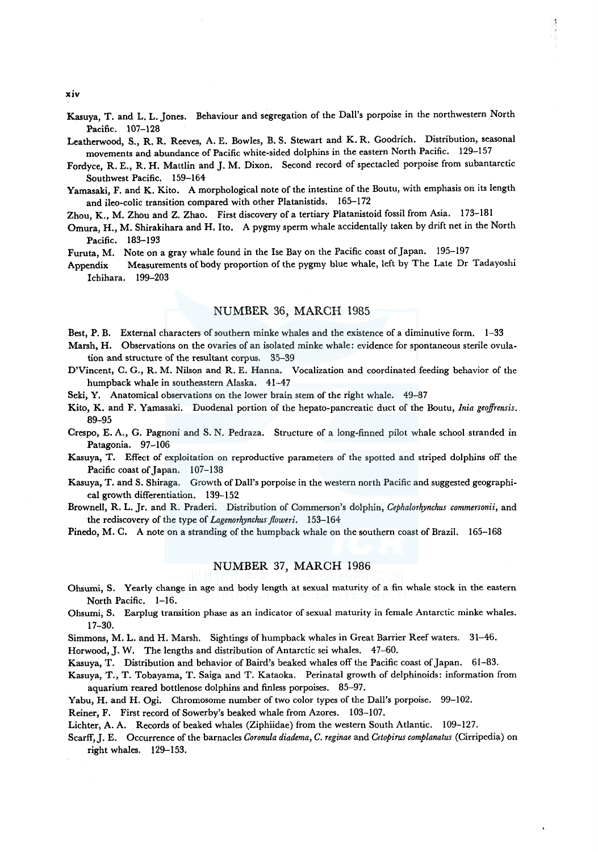Kasuya, T. and L. L. Jones. Behaviour and segregation of the Dall's porpoise in the northwestern North Pacific. 107-128

Leatherwood, S., R. R. Reeves, A. E. Bowles, B. S. Stewart and K. R. Goodrich. Distribution, seasonal movements and abundance of Pacific white-sided dolphins in the eastern North Pacific. 129-157

Fordyce, R. E., R.H. Mattlin and J.M. Dixon. Second record of spectacled porpoise from subantarctic Southwest Pacific. 159-164

Yamasaki, F. and K. Kito. A morphological note of the intestine of the Boutu, with emphasis on its length and ileo-colic transition compared with other Platanistids. 165-172

Zhou, K., M. Zhou and Z. Zhao. First discovery of a tertiary Platanistoid fossil from Asia. 173-181

Omura, H., M. Shirakihara and H. Ito. A pygmy sperm whale accidentally taken by drift net in the North Pacific. 183-193

Furuta, M. Note on a gray whale found in the Ise Bay on the Pacific coast of Japan. 195-197

Appendix Measurements of body proportion of the pygmy blue whale, left by The Late Dr Tadayoshi Ichihara. 199-203

## NUMBER 36, MARCH 1985

Best, P. B. External characters of southern minke whales and the existence of a diminutive form. 1-33

Marsh, H. Observations on the ovaries of an isolated minke whale: evidence for spontaneous sterile ovulation and structure of the resultant corpus. 35-39

D'Vincent, C. G., R. M. Nilson and R. E. Hanna. Vocalization and coordinated feeding behavior of the humpback whale in southeastern Alaska. 41-47

Seki, Y. Anatomical observations on the lower brain stem of the right whale. 49-87

Kito, K. and F. Yamasaki. Duodenal portion of the hepato-pancreatic duct of the Boutu, *lnia geoffrensis.*  89-95

Crespo, E. A., G. Pagnoni and S. N. Pedraza. Structure of a long-finned pilot whale school stranded in Patagonia. 97-106

Kasuya, T. Effect of exploitation on reproductive parameters of the spotted and striped dolphins off the Pacific coast of Japan. 107-138

Kasuya, T. and S. Shiraga. Growth of Dall's porpoise in the western north Pacific and suggested geographical growth differentiation. 139-152

Brownell, R. L. Jr. and R. Praderi. Distribution of Commerson's dolphin, *Cephalorhynchus commersonii,* and the rediscovery of the type of *Lagenorhynchus floweri.* 153-164

Pinedo, M. C. A note on a stranding of the humpback whale on the southern coast of Brazil. 165-168

# NUMBER 37, MARCH 1986

Ohsumi, S. Yearly change in age and body length at sexual maturity of a fin whale stock in the eastern North Pacific. 1-16.

Ohsumi, S. Earplug transition phase as an indicator of sexual maturity in female Antarctic minke whales. 17-30.

Simmons, M. L. and H. Marsh. Sightings of humpback whales in Great Barrier Reef waters. 31-46.

Horwood, J. W. The lengths and distribution of Antarctic sei whales. 47-60.

Kasuya, T. Distribution and behavior of Baird's beaked whales off the Pacific coast of Japan. 61-83.

Kasuya, T., T. Tobayama, T. Saiga and T. Kataoka. Perinatal growth of delphinoids: information from aquarium reared bottlenose dolphins and finless porpoises. 85-97.

Yabu, H. and H. Ogi. Chromosome number of two color types of the Dall's porpoise. 99-102.

Reiner, F. First record of Sowerby's beaked whale from Azores. 103-107.

Lichter, A. A. Records of beaked whales (Ziphiidae) from the western South Atlantic. 109-127.

Scarff,]. E. Occurrence of the barnacles *Coronula diadema, C. reginae* and *Cetopirus complanatus* (Cirripedia) on right whales. 129-153.

xiv